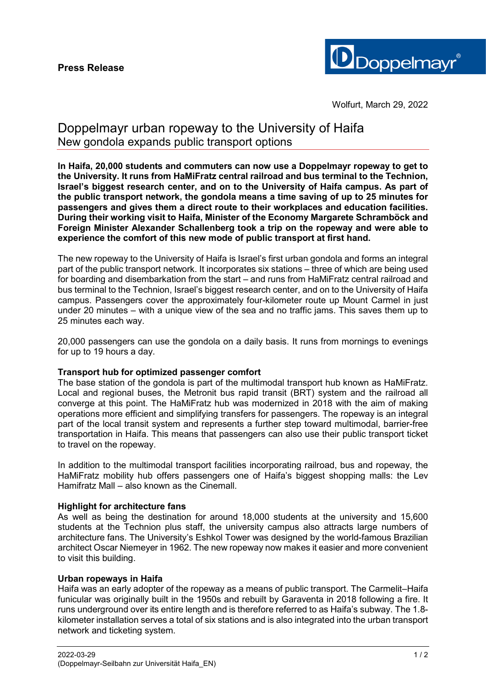

# Doppelmayr urban ropeway to the University of Haifa New gondola expands public transport options

**In Haifa, 20,000 students and commuters can now use a Doppelmayr ropeway to get to the University. It runs from HaMiFratz central railroad and bus terminal to the Technion, Israel's biggest research center, and on to the University of Haifa campus. As part of the public transport network, the gondola means a time saving of up to 25 minutes for passengers and gives them a direct route to their workplaces and education facilities. During their working visit to Haifa, Minister of the Economy Margarete Schramböck and Foreign Minister Alexander Schallenberg took a trip on the ropeway and were able to experience the comfort of this new mode of public transport at first hand.** 

The new ropeway to the University of Haifa is Israel's first urban gondola and forms an integral part of the public transport network. It incorporates six stations – three of which are being used for boarding and disembarkation from the start – and runs from HaMiFratz central railroad and bus terminal to the Technion, Israel's biggest research center, and on to the University of Haifa campus. Passengers cover the approximately four-kilometer route up Mount Carmel in just under 20 minutes – with a unique view of the sea and no traffic jams. This saves them up to 25 minutes each way.

20,000 passengers can use the gondola on a daily basis. It runs from mornings to evenings for up to 19 hours a day.

### **Transport hub for optimized passenger comfort**

The base station of the gondola is part of the multimodal transport hub known as HaMiFratz. Local and regional buses, the Metronit bus rapid transit (BRT) system and the railroad all converge at this point. The HaMiFratz hub was modernized in 2018 with the aim of making operations more efficient and simplifying transfers for passengers. The ropeway is an integral part of the local transit system and represents a further step toward multimodal, barrier-free transportation in Haifa. This means that passengers can also use their public transport ticket to travel on the ropeway.

In addition to the multimodal transport facilities incorporating railroad, bus and ropeway, the HaMiFratz mobility hub offers passengers one of Haifa's biggest shopping malls: the Lev Hamifratz Mall – also known as the Cinemall.

### **Highlight for architecture fans**

As well as being the destination for around 18,000 students at the university and 15,600 students at the Technion plus staff, the university campus also attracts large numbers of architecture fans. The University's Eshkol Tower was designed by the world-famous Brazilian architect Oscar Niemeyer in 1962. The new ropeway now makes it easier and more convenient to visit this building.

### **Urban ropeways in Haifa**

Haifa was an early adopter of the ropeway as a means of public transport. The Carmelit–Haifa funicular was originally built in the 1950s and rebuilt by Garaventa in 2018 following a fire. It runs underground over its entire length and is therefore referred to as Haifa's subway. The 1.8 kilometer installation serves a total of six stations and is also integrated into the urban transport network and ticketing system.